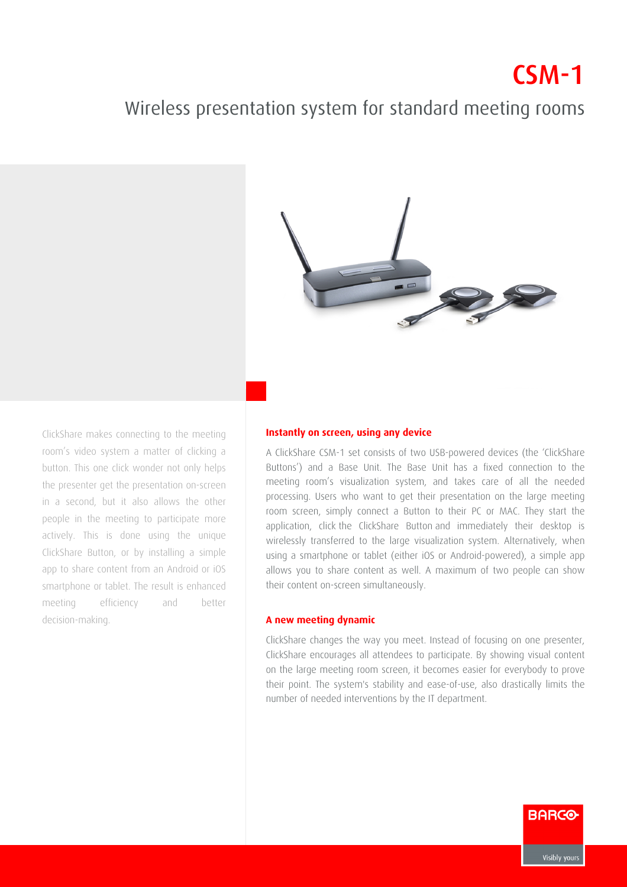## $CSM-1$

## Wireless presentation system for standard meeting rooms



ClickShare makes connecting to the meeting room's video system a matter of clicking a button. This one click wonder not only helps the presenter get the presentation on-screen in a second, but it also allows the other people in the meeting to participate more actively. This is done using the unique ClickShare Button, or by installing a simple app to share content from an Android or iOS smartphone or tablet. The result is enhanced meeting efficiency and better decision-making.

## **Instantly on screen, using any device**

A ClickShare CSM-1 set consists of two USB-powered devices (the 'ClickShare' Buttons') and a Base Unit. The Base Unit has a fixed connection to the meeting room's visualization system, and takes care of all the needed processing. Users who want to get their presentation on the large meeting room screen, simply connect a Button to their PC or MAC. They start the application, click the ClickShare Button and immediately their desktop is wirelessly transferred to the large visualization system. Alternatively, when using a smartphone or tablet (either iOS or Android-powered), a simple app allows you to share content as well. A maximum of two people can show their content on-screen simultaneously.

## **A new meeting dynamic**

ClickShare changes the way you meet. Instead of focusing on one presenter, ClickShare encourages all attendees to participate. By showing visual content on the large meeting room screen, it becomes easier for everybody to prove their point. The system's stability and ease-of-use, also drastically limits the number of needed interventions by the IT department.

**BARCO**